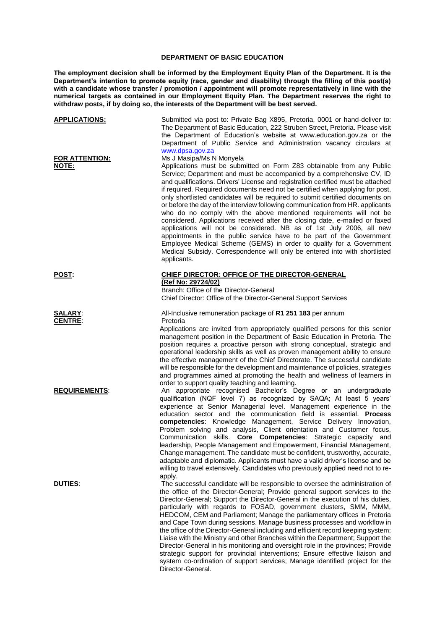## **DEPARTMENT OF BASIC EDUCATION**

**The employment decision shall be informed by the Employment Equity Plan of the Department. It is the Department's intention to promote equity (race, gender and disability) through the filling of this post(s)**  with a candidate whose transfer / promotion / appointment will promote representatively in line with the **numerical targets as contained in our Employment Equity Plan. The Department reserves the right to withdraw posts, if by doing so, the interests of the Department will be best served.**

| <u>APPLICATIONS:</u>             | Submitted via post to: Private Bag X895, Pretoria, 0001 or hand-deliver to:<br>The Department of Basic Education, 222 Struben Street, Pretoria. Please visit<br>the Department of Education's website at www.education.gov.za or the<br>Department of Public Service and Administration vacancy circulars at<br>www.dpsa.gov.za                                                                                                                                                                                                                                                                                                                                                                                                                                                                                                                                                                                                                                                             |
|----------------------------------|---------------------------------------------------------------------------------------------------------------------------------------------------------------------------------------------------------------------------------------------------------------------------------------------------------------------------------------------------------------------------------------------------------------------------------------------------------------------------------------------------------------------------------------------------------------------------------------------------------------------------------------------------------------------------------------------------------------------------------------------------------------------------------------------------------------------------------------------------------------------------------------------------------------------------------------------------------------------------------------------|
| <b>FOR ATTENTION:</b><br>NOTE:   | Ms J Masipa/Ms N Monyela<br>Applications must be submitted on Form Z83 obtainable from any Public<br>Service; Department and must be accompanied by a comprehensive CV, ID<br>and qualifications. Drivers' License and registration certified must be attached<br>if required. Required documents need not be certified when applying for post,<br>only shortlisted candidates will be required to submit certified documents on<br>or before the day of the interview following communication from HR. applicants<br>who do no comply with the above mentioned requirements will not be<br>considered. Applications received after the closing date, e-mailed or faxed<br>applications will not be considered. NB as of 1st July 2006, all new<br>appointments in the public service have to be part of the Government<br>Employee Medical Scheme (GEMS) in order to qualify for a Government<br>Medical Subsidy. Correspondence will only be entered into with shortlisted<br>applicants. |
| <u>POST:</u>                     | CHIEF DIRECTOR: OFFICE OF THE DIRECTOR-GENERAL<br>(Ref No: 29724/02)<br>Branch: Office of the Director-General<br>Chief Director: Office of the Director-General Support Services                                                                                                                                                                                                                                                                                                                                                                                                                                                                                                                                                                                                                                                                                                                                                                                                           |
| <b>SALARY:</b><br><b>CENTRE:</b> | All-Inclusive remuneration package of R1 251 183 per annum<br>Pretoria<br>Applications are invited from appropriately qualified persons for this senior<br>management position in the Department of Basic Education in Pretoria. The<br>position requires a proactive person with strong conceptual, strategic and<br>operational leadership skills as well as proven management ability to ensure<br>the effective management of the Chief Directorate. The successful candidate<br>will be responsible for the development and maintenance of policies, strategies<br>and programmes aimed at promoting the health and wellness of learners in<br>order to support quality teaching and learning.                                                                                                                                                                                                                                                                                         |
| <b>REQUIREMENTS:</b>             | An appropriate recognised Bachelor's Degree or an undergraduate<br>qualification (NQF level 7) as recognized by SAQA; At least 5 years'<br>experience at Senior Managerial level. Management experience in the<br>education sector and the communication field is essential. Process<br>competencies: Knowledge Management, Service Delivery Innovation,<br>Problem solving and analysis, Client orientation and Customer focus,<br>Communication skills. Core Competencies: Strategic capacity and<br>leadership, People Management and Empowerment, Financial Management,<br>Change management. The candidate must be confident, trustworthy, accurate,<br>adaptable and diplomatic. Applicants must have a valid driver's license and be<br>willing to travel extensively. Candidates who previously applied need not to re-                                                                                                                                                             |
| <b>DUTIES:</b>                   | apply.<br>The successful candidate will be responsible to oversee the administration of<br>the office of the Director-General; Provide general support services to the<br>Director-General; Support the Director-General in the execution of his duties,<br>particularly with regards to FOSAD, government clusters, SMM, MMM,<br>HEDCOM, CEM and Parliament; Manage the parliamentary offices in Pretoria<br>and Cape Town during sessions. Manage business processes and workflow in<br>the office of the Director-General including and efficient record keeping system;<br>Liaise with the Ministry and other Branches within the Department; Support the<br>Director-General in his monitoring and oversight role in the provinces; Provide<br>strategic support for provincial interventions; Ensure effective liaison and<br>system co-ordination of support services; Manage identified project for the<br>Director-General.                                                        |